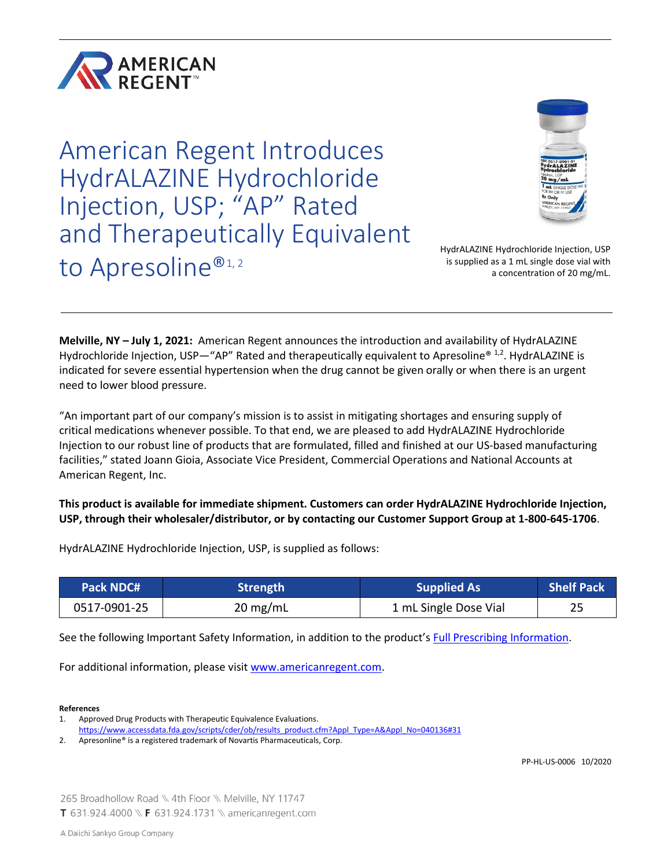

American Regent Introduces HydrALAZINE Hydrochloride Injection, USP; "AP" Rated and Therapeutically Equivalent to Apresoline®1,2



HydrALAZINE Hydrochloride Injection, USP is supplied as a 1 mL single dose vial with a concentration of 20 mg/mL.

**Melville, NY – July 1, 2021:** American Regent announces the introduction and availability of HydrALAZINE Hydrochloride Injection, USP—"AP" Rated and therapeutically equivalent to Apresoline® 1,2. HydrALAZINE is indicated for severe essential hypertension when the drug cannot be given orally or when there is an urgent need to lower blood pressure.

"An important part of our company's mission is to assist in mitigating shortages and ensuring supply of critical medications whenever possible. To that end, we are pleased to add HydrALAZINE Hydrochloride Injection to our robust line of products that are formulated, filled and finished at our US-based manufacturing facilities," stated Joann Gioia, Associate Vice President, Commercial Operations and National Accounts at American Regent, Inc.

# **This product is available for immediate shipment. Customers can order HydrALAZINE Hydrochloride Injection, USP, through their wholesaler/distributor, or by contacting our Customer Support Group at 1-800-645-1706**.

| <b>Pack NDC#</b> | <b>Strength</b>    | <b>Supplied As</b>    | Shelf Pack |
|------------------|--------------------|-----------------------|------------|
| 0517-0901-25     | $20 \text{ mg/mL}$ | 1 mL Single Dose Vial | 25         |

HydrALAZINE Hydrochloride Injection, USP, is supplied as follows:

See the following Important Safety Information, in addition to the product's [Full Prescribing Information.](https://american-regent.s1.umbraco.io/media/2953/ref-1503_hydralazine-insert-in0901-rev-10-18.pdf)

For additional information, please visit [www.americanregent.com.](https://www.americanregent.com/)

**References** 

PP-HL-US-0006 10/2020

265 Broadhollow Road \\ 4th Floor \\ Melville, NY 11747 **T** 631.924.4000 \\ **F** 631.924.1731 \\ americanregent.com

<sup>1.</sup> Approved Drug Products with Therapeutic Equivalence Evaluations.

[https://www.accessdata.fda.gov/scripts/cder/ob/results\\_product.cfm?Appl\\_Type=A&Appl\\_No=040136#31](https://www.accessdata.fda.gov/scripts/cder/ob/results_product.cfm?Appl_Type=A&Appl_No=040136%2331)

<sup>2.</sup> Apresonline® is a registered trademark of Novartis Pharmaceuticals, Corp.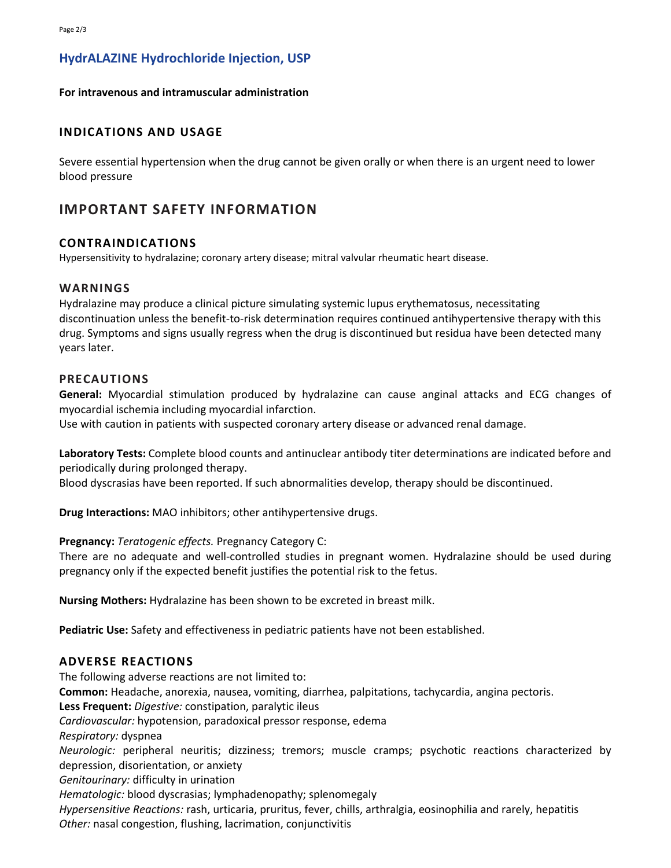# **HydrALAZINE Hydrochloride Injection, USP**

## **For intravenous and intramuscular administration**

# **INDICATIONS AND USAGE**

Severe essential hypertension when the drug cannot be given orally or when there is an urgent need to lower blood pressure

# **IMPORTANT SAFETY INFORMATION**

## **CONTRAINDICATIONS**

Hypersensitivity to hydralazine; coronary artery disease; mitral valvular rheumatic heart disease.

## **WARNINGS**

Hydralazine may produce a clinical picture simulating systemic lupus erythematosus, necessitating discontinuation unless the benefit-to-risk determination requires continued antihypertensive therapy with this drug. Symptoms and signs usually regress when the drug is discontinued but residua have been detected many years later.

## **PRECAUTIONS**

**General:** Myocardial stimulation produced by hydralazine can cause anginal attacks and ECG changes of myocardial ischemia including myocardial infarction.

Use with caution in patients with suspected coronary artery disease or advanced renal damage.

**Laboratory Tests:** Complete blood counts and antinuclear antibody titer determinations are indicated before and periodically during prolonged therapy.

Blood dyscrasias have been reported. If such abnormalities develop, therapy should be discontinued.

**Drug Interactions:** MAO inhibitors; other antihypertensive drugs.

**Pregnancy:** *Teratogenic effects.* Pregnancy Category C:

There are no adequate and well-controlled studies in pregnant women. Hydralazine should be used during pregnancy only if the expected benefit justifies the potential risk to the fetus.

**Nursing Mothers:** Hydralazine has been shown to be excreted in breast milk.

**Pediatric Use:** Safety and effectiveness in pediatric patients have not been established.

## **ADVERSE REACTIONS**

The following adverse reactions are not limited to: **Common:** Headache, anorexia, nausea, vomiting, diarrhea, palpitations, tachycardia, angina pectoris. **Less Frequent:** *Digestive:* constipation, paralytic ileus *Cardiovascular:* hypotension, paradoxical pressor response, edema *Respiratory:* dyspnea *Neurologic:* peripheral neuritis; dizziness; tremors; muscle cramps; psychotic reactions characterized by depression, disorientation, or anxiety *Genitourinary:* difficulty in urination *Hematologic:* blood dyscrasias; lymphadenopathy; splenomegaly *Hypersensitive Reactions:* rash, urticaria, pruritus, fever, chills, arthralgia, eosinophilia and rarely, hepatitis *Other:* nasal congestion, flushing, lacrimation, conjunctivitis